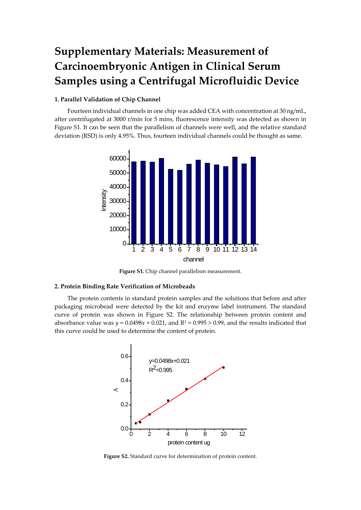## **Supplementary Materials: Measurement of Carcinoembryonic Antigen in Clinical Serum Samples using a Centrifugal Microfluidic Device**

## **1. Parallel Validation of Chip Channel**

Fourteen individual channels in one chip was added CEA with concentration at 30 ng/mL, after centrifugated at 3000 r/min for 5 mins, fluorescence intensity was detected as shown in Figure S1. It can be seen that the parallelism of channels were well, and the relative standard deviation (RSD) is only 4.95%. Thus, fourteen individual channels could be thought as same.



**Figure S1.** Chip channel parallelism measurement.

## **2. Protein Binding Rate Verification of Microbeads**

The protein contents in standard protein samples and the solutions that before and after packaging microbead were detected by the kit and enzyme label instrument. The standard curve of protein was shown in Figure S2. The relationship between protein content and absorbance value was  $y = 0.0498x + 0.021$ , and  $R^2 = 0.995 > 0.99$ , and the results indicated that this curve could be used to determine the content of protein.



**Figure S2.** Standard curve for determination of protein content.